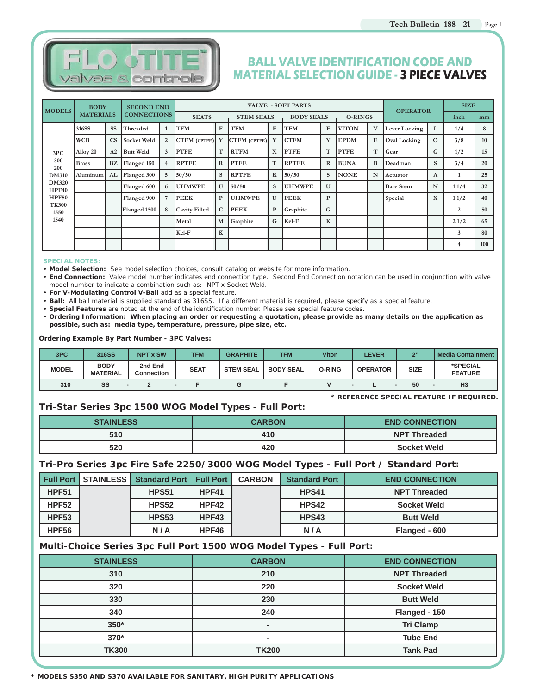

# **BALL VALVE IDENTIFICATION CODE AND MATERIAL SELECTION GUIDE - 3 PIECE VALVES**

| <b>MODELS</b>         | <b>BODY</b>      |                        | <b>SECOND END</b>  |                |                      |             |                     |                   | <b>VALVE - SOFT PARTS</b> |              |                |              | <b>OPERATOR</b>     |              | <b>SIZE</b> |     |
|-----------------------|------------------|------------------------|--------------------|----------------|----------------------|-------------|---------------------|-------------------|---------------------------|--------------|----------------|--------------|---------------------|--------------|-------------|-----|
|                       | <b>MATERIALS</b> |                        | <b>CONNECTIONS</b> |                | <b>SEATS</b>         |             | <b>STEM SEALS</b>   | <b>BODY SEALS</b> |                           |              | <b>O-RINGS</b> |              |                     |              | inch        | mm  |
|                       | 316SS            | <b>SS</b>              | Threaded           | $\mathbf{1}$   | <b>TFM</b>           | F           | TFM                 | $\mathbf{F}$      | <b>TFM</b>                | F            | <b>VITON</b>   | V            | Lever Locking       | L            | 1/4         | 8   |
|                       | <b>WCB</b>       | $\overline{\text{CS}}$ | <b>Socket Weld</b> | $\overline{2}$ | <b>CTFM</b> (CPTFE)  | Y           | <b>CTFM</b> (CPTFE) | Y                 | <b>CTFM</b>               | Y            | <b>EPDM</b>    | E            | <b>Oval Locking</b> | $\Omega$     | 3/8         | 10  |
| 3PC                   | Alloy 20         | A2                     | <b>Butt Weld</b>   | 3              | <b>PTFE</b>          | T           | <b>RTFM</b>         | X                 | <b>PTFE</b>               | T            | <b>PTFE</b>    | T            | Gear                | G            | 1/2         | 15  |
| 300<br>200            | <b>Brass</b>     | <b>BZ</b>              | Flanged 150        | $\overline{4}$ | <b>RPTFE</b>         | R           | <b>PTFE</b>         | T                 | <b>RPTFE</b>              | $\mathbb{R}$ | <b>BUNA</b>    | B            | Deadman             | $\mathbf{s}$ | 3/4         | 20  |
| <b>DM310</b>          | Aluminum         | AL                     | Flanged 300        | 5              | 50/50                | S           | <b>RPTFE</b>        | $\mathbb{R}$      | 50/50                     | $\mathbf{s}$ | <b>NONE</b>    | $\mathbb{N}$ | Actuator            | A            |             | 25  |
| <b>DM320</b><br>HPF40 |                  |                        | Flanged 600        | 6              | <b>UHMWPE</b>        | U           | 50/50               | S                 | UHMWPE                    | U            |                |              | <b>Bare Stem</b>    | N            | 11/4        | 32  |
| <b>HPF50</b>          |                  |                        | Flanged 900        | $\overline{7}$ | <b>PEEK</b>          | P           | <b>UHMWPE</b>       | $\mathbf{U}$      | <b>PEEK</b>               | P            |                |              | Special             | X            | 11/2        | 40  |
| <b>TK300</b><br>1550  |                  |                        | Flanged 1500       | 8              | <b>Cavity Filled</b> | $\mathbf C$ | <b>PEEK</b>         | P                 | Graphite                  | G            |                |              |                     |              | 2           | 50  |
| 1540                  |                  |                        |                    |                | Metal                | M           | Graphite            | G                 | Kel-F                     | K            |                |              |                     |              | 21/2        | 65  |
|                       |                  |                        |                    |                | Kel-F                | $\mathbf K$ |                     |                   |                           |              |                |              |                     |              | 3           | 80  |
|                       |                  |                        |                    |                |                      |             |                     |                   |                           |              |                |              |                     |              | 4           | 100 |

#### **SPECIAL NOTES:**

• **Model Selection:** See model selection choices, consult catalog or website for more information.

• **End Connection:** Valve model number indicates end connection type. Second End Connection notation can be used in conjunction with valve model number to indicate a combination such as: NPT x Socket Weld.

• **For V-Modulating Control V-Ball** add as a special feature.

• **Ball:** All ball material is supplied standard as 316SS. If a different material is required, please specify as a special feature.

• Special Features are noted at the end of the identification number. Please see special feature codes.

• **Ordering Information: When placing an order or requesting a quotation, please provide as many details on the application as possible, such as: media type, temperature, pressure, pipe size, etc.**

#### **Ordering Example By Part Number - 3PC Valves:**

| 3PC          | 316SS                          | <b>NPT x SW</b>              | <b>TFM</b>  | <b>GRAPHITE</b>  | TFM              | Viton         | LEVER           | 233         | Media Containment          |
|--------------|--------------------------------|------------------------------|-------------|------------------|------------------|---------------|-----------------|-------------|----------------------------|
| <b>MODEL</b> | <b>BODY</b><br><b>MATERIAL</b> | 2nd End<br><b>Connection</b> | <b>SEAT</b> | <b>STEM SEAL</b> | <b>BODY SEAL</b> | <b>O-RING</b> | <b>OPERATOR</b> | <b>SIZE</b> | *SPECIAL<br><b>FEATURE</b> |
| 310          | SS                             |                              |             |                  |                  |               |                 | 50          | H <sub>3</sub>             |

**\* REFERENCE SPECIAL FEATURE IF REQUIRED.**

#### **Tri-Star Series 3pc 1500 WOG Model Types - Full Port:**

| <b>STAINLESS</b> | <b>CARBON</b> | <b>END CONNECTION</b> |
|------------------|---------------|-----------------------|
| 510              | 410           | <b>NPT Threaded</b>   |
| 520              | 420           | <b>Socket Weld</b>    |

#### **Tri-Pro Series 3pc Fire Safe 2250/3000 WOG Model Types - Full Port / Standard Port:**

|              | <b>Full Port   STAINLESS   Standard Port   Full Port</b> |       | <b>CARBON</b> | <b>Standard Port</b> | <b>END CONNECTION</b> |
|--------------|----------------------------------------------------------|-------|---------------|----------------------|-----------------------|
| <b>HPF51</b> | <b>HPS51</b>                                             | HPF41 |               | <b>HPS41</b>         | <b>NPT Threaded</b>   |
| HPF52        | <b>HPS52</b>                                             | HPF42 |               | <b>HPS42</b>         | <b>Socket Weld</b>    |
| HPF53        | <b>HPS53</b>                                             | HPF43 |               | <b>HPS43</b>         | <b>Butt Weld</b>      |
| HPF56        | N/A                                                      | HPF46 |               | N/A                  | Flanged - 600         |

#### **Multi-Choice Series 3pc Full Port 1500 WOG Model Types - Full Port:**

| <b>STAINLESS</b> | <b>CARBON</b>  | <b>END CONNECTION</b> |
|------------------|----------------|-----------------------|
| 310              | 210            | <b>NPT Threaded</b>   |
| 320              | 220            | <b>Socket Weld</b>    |
| 330              | 230            | <b>Butt Weld</b>      |
| 340              | 240            | Flanged - 150         |
| $350*$           | $\blacksquare$ | <b>Tri Clamp</b>      |
| $370*$           |                | <b>Tube End</b>       |
| <b>TK300</b>     | <b>TK200</b>   | <b>Tank Pad</b>       |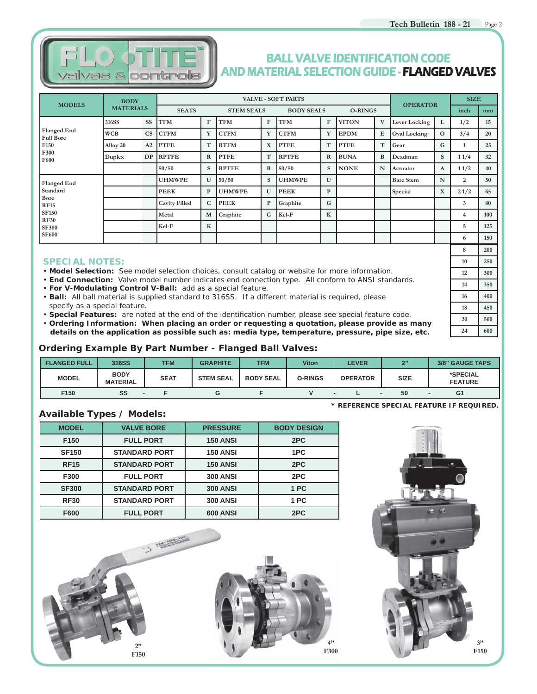

## **BALL VALVE IDENTIFICATION CODE AND MATERIAL SELECTION GUIDE - FLANGED VALVES**

| <b>MODELS</b>                          | <b>BODY</b>      |           |                      |              |                   |              | <b>VALVE - SOFT PARTS</b> |              |                |   | <b>OPERATOR</b>     |              | <b>SIZE</b> |     |
|----------------------------------------|------------------|-----------|----------------------|--------------|-------------------|--------------|---------------------------|--------------|----------------|---|---------------------|--------------|-------------|-----|
|                                        | <b>MATERIALS</b> |           | <b>SEATS</b>         |              | <b>STEM SEALS</b> |              | <b>BODY SEALS</b>         |              | <b>O-RINGS</b> |   |                     |              | inch        | mm  |
|                                        | 316SS            | SS        | <b>TFM</b>           | F            | <b>TFM</b>        | ${\bf F}$    | <b>TFM</b>                | F            | <b>VITON</b>   | V | Lever Locking       | L            | 1/2         | 15  |
| <b>Flanged End</b><br><b>Full Bore</b> | <b>WCB</b>       | <b>CS</b> | <b>CTFM</b>          | Y            | <b>CTFM</b>       | Y            | <b>CTFM</b>               | Y            | <b>EPDM</b>    | E | <b>Oval Locking</b> | $\mathbf{o}$ | 3/4         | 20  |
| F150                                   | Alloy 20         | A2        | <b>PTFE</b>          | T            | <b>RTFM</b>       | $\mathbf X$  | <b>PTFE</b>               | T            | <b>PTFE</b>    | T | Gear                | G            |             | 25  |
| F300<br>F600                           | Duplex           | <b>DP</b> | <b>RPTFE</b>         | $\mathbb{R}$ | <b>PTFE</b>       | T            | <b>RPTFE</b>              | $\mathbb{R}$ | <b>BUNA</b>    | B | Deadman             | S            | 11/4        | 32  |
|                                        |                  |           | 50/50                | S            | <b>RPTFE</b>      | $\mathbb{R}$ | 50/50                     | S            | <b>NONE</b>    | N | Actuator            | A            | 11/2        | 40  |
| <b>Flanged End</b>                     |                  |           | <b>UHMWPE</b>        | U            | 50/50             | S            | <b>UHMWPE</b>             | U            |                |   | <b>Bare Stem</b>    | N            | 2           | 50  |
| Standard                               |                  |           | <b>PEEK</b>          | $\mathbf{P}$ | <b>UHMWPE</b>     | U            | <b>PEEK</b>               | $\mathbf{P}$ |                |   | Special             | X            | 21/2        | 65  |
| <b>Bore</b><br><b>RF15</b>             |                  |           | <b>Cavity Filled</b> | $\mathbf C$  | <b>PEEK</b>       | P            | Graphite                  | G            |                |   |                     |              | 3           | 80  |
| <b>SF150</b><br><b>RF30</b>            |                  |           | Metal                | M            | Graphite          | G            | Kel-F                     | K            |                |   |                     |              | 4           | 100 |
| <b>SF300</b>                           |                  |           | Kel-F                | $\mathbf K$  |                   |              |                           |              |                |   |                     |              | 5           | 125 |
| <b>SF600</b>                           |                  |           |                      |              |                   |              |                           |              |                |   |                     |              | 6           | 150 |

#### **SPECIAL NOTES:**

- **Model Selection:** See model selection choices, consult catalog or website for more information.
- **End Connection:** Valve model number indicates end connection type. All conform to ANSI standards.
- **For V-Modulating Control V-Ball:** add as a special feature.
- **Ball:** All ball material is supplied standard to 316SS. If a different material is required, please specify as a special feature.
- **Special Features:** are noted at the end of the identification number, please see special feature code.

• **Ordering Information: When placing an order or requesting a quotation, please provide as many details on the application as possible such as: media type, temperature, pressure, pipe size, etc.**

#### **Ordering Example By Part Number - Flanged Ball Valves:**

| <b>FLANGED FULL</b> | 316SS                          | <b>TFM</b>  | <b>GRAPHITE</b>  | <b>TFM</b>       | <b>Viton</b>   | <b>LEVER</b>    | 2"          | 3/8" GAUGE TAPS                          |
|---------------------|--------------------------------|-------------|------------------|------------------|----------------|-----------------|-------------|------------------------------------------|
| <b>MODEL</b>        | <b>BODY</b><br><b>MATERIAL</b> | <b>SEAT</b> | <b>STEM SEAL</b> | <b>BODY SEAL</b> | <b>O-RINGS</b> | <b>OPERATOR</b> | <b>SIZE</b> | *SPECIAL<br><b>FEATURE</b>               |
| F <sub>150</sub>    | SS                             |             |                  |                  |                | $\sim$          | 50          | G1                                       |
|                     |                                |             |                  |                  |                |                 |             | * REFERENCE SPECIAL FEATURE IF REQUIRED. |

#### **Available Types / Models:**

| <b>MODEL</b>     | <b>VALVE BORE</b>    | <b>PRESSURE</b> | <b>BODY DESIGN</b> |
|------------------|----------------------|-----------------|--------------------|
| F <sub>150</sub> | <b>FULL PORT</b>     | <b>150 ANSI</b> | 2PC                |
| <b>SF150</b>     | <b>STANDARD PORT</b> | <b>150 ANSI</b> | 1PC                |
| <b>RF15</b>      | <b>STANDARD PORT</b> | <b>150 ANSI</b> | 2PC                |
| F300             | <b>FULL PORT</b>     | <b>300 ANSI</b> | 2PC                |
| <b>SF300</b>     | <b>STANDARD PORT</b> | <b>300 ANSI</b> | 1 PC               |
| <b>RF30</b>      | <b>STANDARD PORT</b> | <b>300 ANSI</b> | 1 PC               |
| F600             | <b>FULL PORT</b>     | <b>600 ANSI</b> | 2PC                |



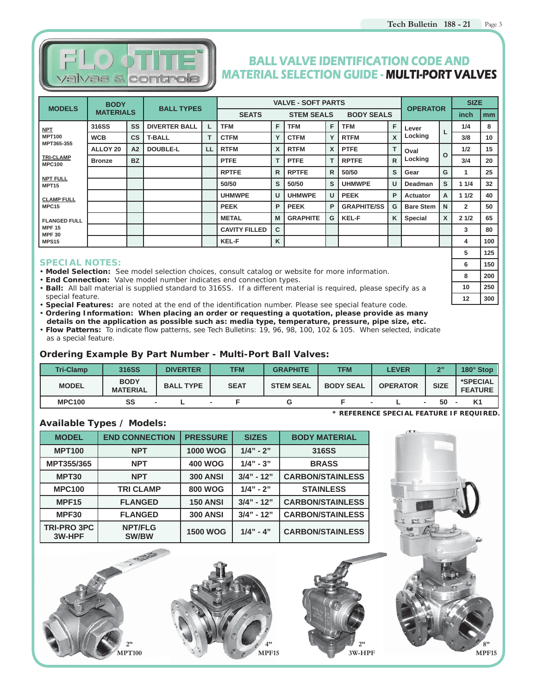

## **BALL VALVE IDENTIFICATION CODE AND MATERIAL SELECTION GUIDE - MULTI-PORT VALVES**

|                                      | <b>BODY</b><br><b>MODELS</b><br><b>MATERIALS</b> |                | <b>BALL TYPES</b>    |    |                      |                   | <b>VALVE - SOFT PARTS</b> |              |                    |              | <b>OPERATOR</b>  |   | <b>SIZE</b>    |                |
|--------------------------------------|--------------------------------------------------|----------------|----------------------|----|----------------------|-------------------|---------------------------|--------------|--------------------|--------------|------------------|---|----------------|----------------|
|                                      |                                                  |                |                      |    | <b>SEATS</b>         | <b>STEM SEALS</b> |                           |              | <b>BODY SEALS</b>  |              |                  |   | inch           | m <sub>m</sub> |
| <b>NPT</b>                           | 316SS                                            | SS             | <b>DIVERTER BALL</b> |    | <b>TFM</b>           | F.                | <b>TFM</b>                | F            | <b>TFM</b>         | F            | Lever            |   | 1/4            | 8              |
| <b>MPT100</b>                        | <b>WCB</b>                                       | $\csc$         | <b>T-BALL</b>        |    | <b>CTFM</b>          | Y                 | <b>CTFM</b>               | Y            | <b>RTFM</b>        | $\mathsf{x}$ | Locking          | ┖ | 3/8            | 10             |
| MPT365-355                           | ALLOY 20                                         | A <sub>2</sub> | <b>DOUBLE-L</b>      | LL | <b>RTFM</b>          | <b>X</b>          | <b>RTFM</b>               | X            | <b>PTFE</b>        | т            | Oval             |   | 1/2            | 15             |
| <b>TRI-CLAMP</b><br><b>MPC100</b>    | <b>Bronze</b>                                    | <b>BZ</b>      |                      |    | <b>PTFE</b>          | T.                | <b>PTFE</b>               | т            | <b>RPTFE</b>       | $\mathsf{R}$ | Locking          | O | 3/4            | 20             |
|                                      |                                                  |                |                      |    | <b>RPTFE</b>         | $\mathsf{R}$      | <b>RPTFE</b>              | $\mathsf{R}$ | 50/50              | s            | Gear             | G | 1              | 25             |
| <b>NPT FULL</b><br>MPT <sub>15</sub> |                                                  |                |                      |    | 50/50                | $\mathbf{s}$      | 50/50                     | S            | <b>UHMWPE</b>      | U            | Deadman          | s | 11/4           | 32             |
| <b>CLAMP FULL</b>                    |                                                  |                |                      |    | <b>UHMWPE</b>        | U                 | <b>UHMWPE</b>             | U            | <b>PEEK</b>        | P            | Actuator         | A | 11/2           | 40             |
| MPC15                                |                                                  |                |                      |    | <b>PEEK</b>          | P.                | <b>PEEK</b>               | P            | <b>GRAPHITE/SS</b> | G            | <b>Bare Stem</b> | N | $\overline{2}$ | 50             |
| <b>FLANGED FULL</b>                  |                                                  |                |                      |    | <b>METAL</b>         | M                 | <b>GRAPHITE</b>           | G            | <b>KEL-F</b>       | K            | Special          | X | 21/2           | 65             |
| <b>MPF 15</b><br><b>MPF 30</b>       |                                                  |                |                      |    | <b>CAVITY FILLED</b> | C.                |                           |              |                    |              |                  |   | 3              | 80             |
| <b>MPS15</b>                         |                                                  |                |                      |    | <b>KEL-F</b>         | K                 |                           |              |                    |              |                  |   | 4              | 100            |
|                                      |                                                  |                |                      |    |                      |                   |                           |              |                    |              |                  |   | 5              | 125            |

#### **SPECIAL NOTES:**

• **Model Selection:** See model selection choices, consult catalog or website for more information.

• **End Connection:** Valve model number indicates end connection types.

• **Ball:** All ball material is supplied standard to 316SS. If a different material is required, please specify as a special feature.

- **Special Features:** are noted at the end of the identification number. Please see special feature code. • **Ordering Information: When placing an order or requesting a quotation, please provide as many**
- **details on the application as possible such as: media type, temperature, pressure, pipe size, etc.**
- Flow Patterns: To indicate flow patterns, see Tech Bulletins: 19, 96, 98, 100, 102 & 105. When selected, indicate as a special feature.

### **Ordering Example By Part Number - Multi-Port Ball Valves:**

| <b>Tri-Clamp</b> | 316SS                          | <b>DIVERTER</b>  | TFM         | <b>GRAPHITE</b>  | TFM              | <b>LEVER</b>    | 211         | 180° Stop                  |
|------------------|--------------------------------|------------------|-------------|------------------|------------------|-----------------|-------------|----------------------------|
| <b>MODEL</b>     | <b>BODY</b><br><b>MATERIAL</b> | <b>BALL TYPE</b> | <b>SEAT</b> | <b>STEM SEAL</b> | <b>BODY SEAL</b> | <b>OPERATOR</b> | <b>SIZE</b> | *SPECIAL<br><b>FEATURE</b> |
| <b>MPC100</b>    | SS                             |                  |             |                  |                  |                 | 50          |                            |

**\* REFERENCE SPECIAL FEATURE IF REQUIRED.**

### **Available Types / Models:**

| <b>MODEL</b>                 | <b>END CONNECTION</b>          | <b>PRESSURE</b> | <b>SIZES</b> | <b>BODY MATERIAL</b>    |
|------------------------------|--------------------------------|-----------------|--------------|-------------------------|
| <b>MPT100</b>                | <b>NPT</b>                     | <b>1000 WOG</b> | $1/4" - 2"$  | 316SS                   |
| MPT355/365                   | <b>NPT</b>                     | <b>400 WOG</b>  | $1/4" - 3"$  | <b>BRASS</b>            |
| MPT30                        | <b>NPT</b>                     | <b>300 ANSI</b> | $3/4" - 12"$ | <b>CARBON/STAINLESS</b> |
| <b>MPC100</b>                | <b>TRI CLAMP</b>               | <b>800 WOG</b>  | $1/4" - 2"$  | <b>STAINLESS</b>        |
| MPF <sub>15</sub>            | <b>FLANGED</b>                 | <b>150 ANSI</b> | $3/4" - 12"$ | <b>CARBON/STAINLESS</b> |
| MPF30                        | <b>FLANGED</b>                 | <b>300 ANSI</b> | $3/4" - 12"$ | <b>CARBON/STAINLESS</b> |
| <b>TRI-PRO 3PC</b><br>3W-HPF | <b>NPT/FLG</b><br><b>SW/BW</b> | <b>1500 WOG</b> | $1/4" - 4"$  | <b>CARBON/STAINLESS</b> |



> **8" MPF15**

**6 150**